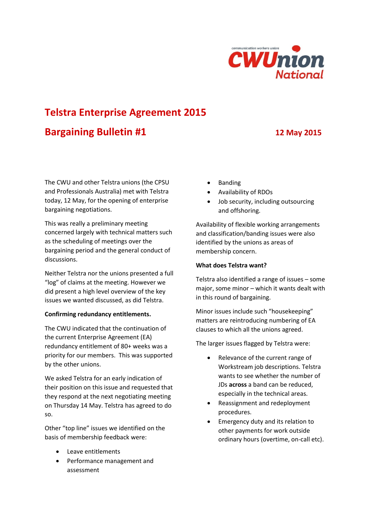

# **Telstra Enterprise Agreement 2015**

## **Bargaining Bulletin #1 12 May 2015**

The CWU and other Telstra unions (the CPSU and Professionals Australia) met with Telstra today, 12 May, for the opening of enterprise bargaining negotiations.

This was really a preliminary meeting concerned largely with technical matters such as the scheduling of meetings over the bargaining period and the general conduct of discussions.

Neither Telstra nor the unions presented a full "log" of claims at the meeting. However we did present a high level overview of the key issues we wanted discussed, as did Telstra.

#### **Confirming redundancy entitlements.**

The CWU indicated that the continuation of the current Enterprise Agreement (EA) redundancy entitlement of 80+ weeks was a priority for our members. This was supported by the other unions.

We asked Telstra for an early indication of their position on this issue and requested that they respond at the next negotiating meeting on Thursday 14 May. Telstra has agreed to do so.

Other "top line" issues we identified on the basis of membership feedback were:

- Leave entitlements
- Performance management and assessment
- Banding
- Availability of RDOs
- Job security, including outsourcing and offshoring.

Availability of flexible working arrangements and classification/banding issues were also identified by the unions as areas of membership concern.

### **What does Telstra want?**

Telstra also identified a range of issues – some major, some minor – which it wants dealt with in this round of bargaining.

Minor issues include such "housekeeping" matters are reintroducing numbering of EA clauses to which all the unions agreed.

The larger issues flagged by Telstra were:

- Relevance of the current range of Workstream job descriptions. Telstra wants to see whether the number of JDs **across** a band can be reduced, especially in the technical areas.
- Reassignment and redeployment procedures.
- Emergency duty and its relation to other payments for work outside ordinary hours (overtime, on-call etc).